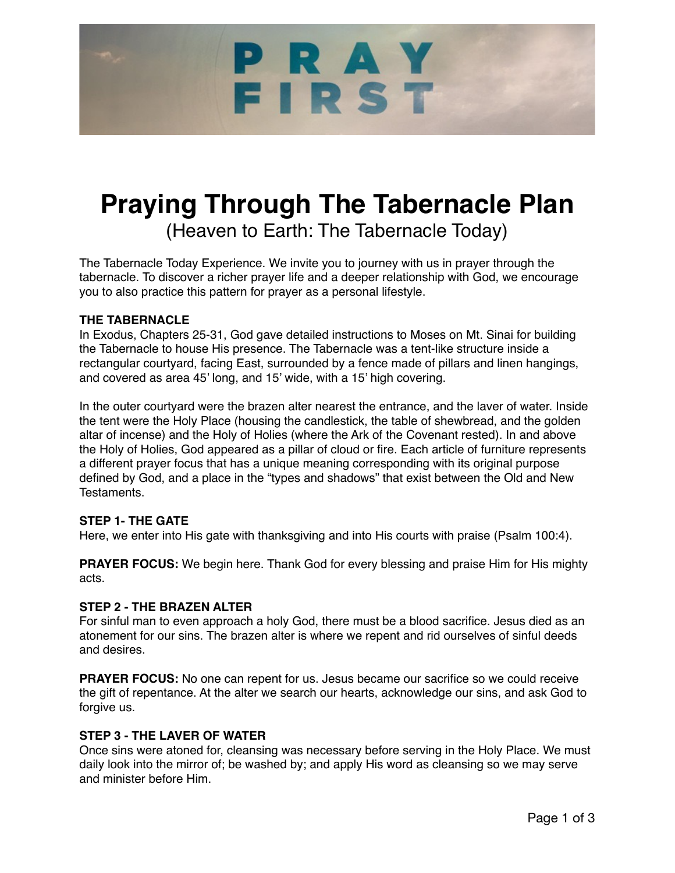# PRAY FIRST

# **Praying Through The Tabernacle Plan**  (Heaven to Earth: The Tabernacle Today)

The Tabernacle Today Experience. We invite you to journey with us in prayer through the tabernacle. To discover a richer prayer life and a deeper relationship with God, we encourage you to also practice this pattern for prayer as a personal lifestyle.

# **THE TABERNACLE**

In Exodus, Chapters 25-31, God gave detailed instructions to Moses on Mt. Sinai for building the Tabernacle to house His presence. The Tabernacle was a tent-like structure inside a rectangular courtyard, facing East, surrounded by a fence made of pillars and linen hangings, and covered as area 45' long, and 15' wide, with a 15' high covering.

In the outer courtyard were the brazen alter nearest the entrance, and the laver of water. Inside the tent were the Holy Place (housing the candlestick, the table of shewbread, and the golden altar of incense) and the Holy of Holies (where the Ark of the Covenant rested). In and above the Holy of Holies, God appeared as a pillar of cloud or fire. Each article of furniture represents a different prayer focus that has a unique meaning corresponding with its original purpose defined by God, and a place in the "types and shadows" that exist between the Old and New Testaments.

# **STEP 1- THE GATE**

Here, we enter into His gate with thanksgiving and into His courts with praise (Psalm 100:4).

**PRAYER FOCUS:** We begin here. Thank God for every blessing and praise Him for His mighty acts.

### **STEP 2 - THE BRAZEN ALTER**

For sinful man to even approach a holy God, there must be a blood sacrifice. Jesus died as an atonement for our sins. The brazen alter is where we repent and rid ourselves of sinful deeds and desires.

**PRAYER FOCUS:** No one can repent for us. Jesus became our sacrifice so we could receive the gift of repentance. At the alter we search our hearts, acknowledge our sins, and ask God to forgive us.

# **STEP 3 - THE LAVER OF WATER**

Once sins were atoned for, cleansing was necessary before serving in the Holy Place. We must daily look into the mirror of; be washed by; and apply His word as cleansing so we may serve and minister before Him.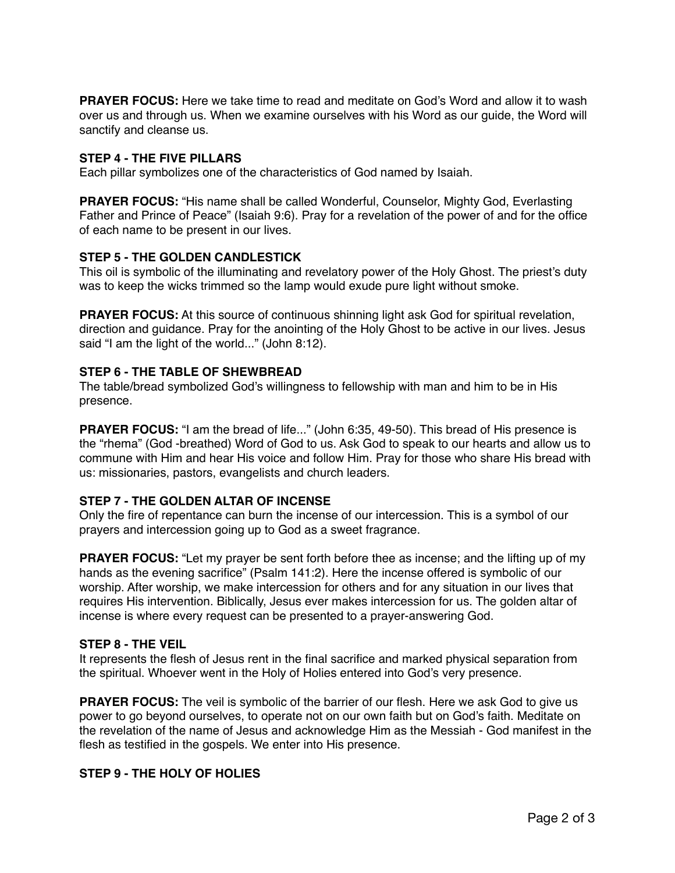**PRAYER FOCUS:** Here we take time to read and meditate on God's Word and allow it to wash over us and through us. When we examine ourselves with his Word as our guide, the Word will sanctify and cleanse us.

#### **STEP 4 - THE FIVE PILLARS**

Each pillar symbolizes one of the characteristics of God named by Isaiah.

**PRAYER FOCUS:** "His name shall be called Wonderful, Counselor, Mighty God, Everlasting Father and Prince of Peace" (Isaiah 9:6). Pray for a revelation of the power of and for the office of each name to be present in our lives.

### **STEP 5 - THE GOLDEN CANDLESTICK**

This oil is symbolic of the illuminating and revelatory power of the Holy Ghost. The priest's duty was to keep the wicks trimmed so the lamp would exude pure light without smoke.

**PRAYER FOCUS:** At this source of continuous shinning light ask God for spiritual revelation, direction and guidance. Pray for the anointing of the Holy Ghost to be active in our lives. Jesus said "I am the light of the world..." (John 8:12).

### **STEP 6 - THE TABLE OF SHEWBREAD**

The table/bread symbolized God's willingness to fellowship with man and him to be in His presence.

**PRAYER FOCUS:** "I am the bread of life..." (John 6:35, 49-50). This bread of His presence is the "rhema" (God -breathed) Word of God to us. Ask God to speak to our hearts and allow us to commune with Him and hear His voice and follow Him. Pray for those who share His bread with us: missionaries, pastors, evangelists and church leaders.

# **STEP 7 - THE GOLDEN ALTAR OF INCENSE**

Only the fire of repentance can burn the incense of our intercession. This is a symbol of our prayers and intercession going up to God as a sweet fragrance.

**PRAYER FOCUS:** "Let my prayer be sent forth before thee as incense; and the lifting up of my hands as the evening sacrifice" (Psalm 141:2). Here the incense offered is symbolic of our worship. After worship, we make intercession for others and for any situation in our lives that requires His intervention. Biblically, Jesus ever makes intercession for us. The golden altar of incense is where every request can be presented to a prayer-answering God.

#### **STEP 8 - THE VEIL**

It represents the flesh of Jesus rent in the final sacrifice and marked physical separation from the spiritual. Whoever went in the Holy of Holies entered into God's very presence.

**PRAYER FOCUS:** The veil is symbolic of the barrier of our flesh. Here we ask God to give us power to go beyond ourselves, to operate not on our own faith but on God's faith. Meditate on the revelation of the name of Jesus and acknowledge Him as the Messiah - God manifest in the flesh as testified in the gospels. We enter into His presence.

#### **STEP 9 - THE HOLY OF HOLIES**